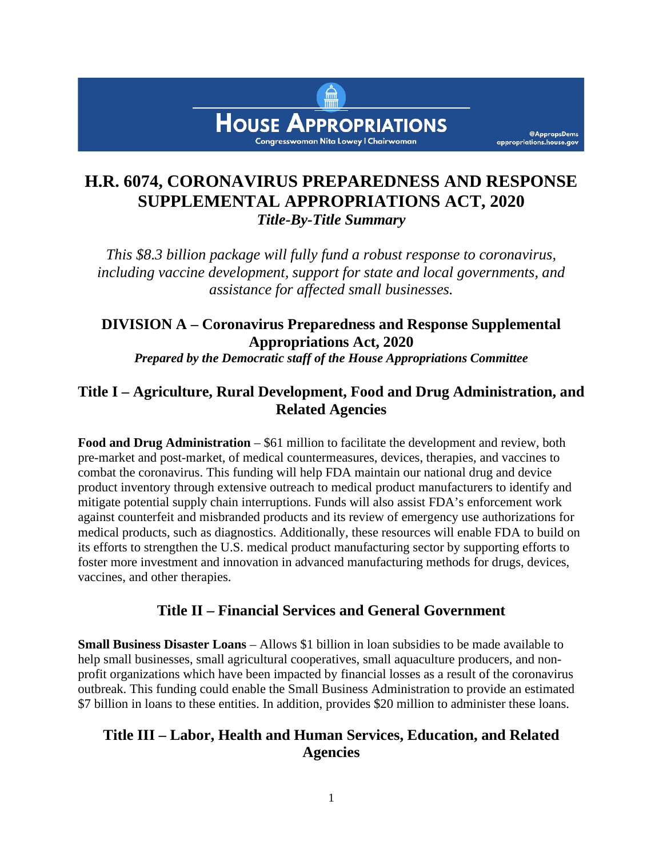

@AppropsDems

appropriations.house.gov

# **H.R. 6074, CORONAVIRUS PREPAREDNESS AND RESPONSE SUPPLEMENTAL APPROPRIATIONS ACT, 2020** *Title-By-Title Summary*

*This \$8.3 billion package will fully fund a robust response to coronavirus, including vaccine development, support for state and local governments, and assistance for affected small businesses.* 

# **DIVISION A – Coronavirus Preparedness and Response Supplemental Appropriations Act, 2020**

*Prepared by the Democratic staff of the House Appropriations Committee*

### **Title I – Agriculture, Rural Development, Food and Drug Administration, and Related Agencies**

**Food and Drug Administration** – \$61 million to facilitate the development and review, both pre-market and post-market, of medical countermeasures, devices, therapies, and vaccines to combat the coronavirus. This funding will help FDA maintain our national drug and device product inventory through extensive outreach to medical product manufacturers to identify and mitigate potential supply chain interruptions. Funds will also assist FDA's enforcement work against counterfeit and misbranded products and its review of emergency use authorizations for medical products, such as diagnostics. Additionally, these resources will enable FDA to build on its efforts to strengthen the U.S. medical product manufacturing sector by supporting efforts to foster more investment and innovation in advanced manufacturing methods for drugs, devices, vaccines, and other therapies.

### **Title II – Financial Services and General Government**

**Small Business Disaster Loans** – Allows \$1 billion in loan subsidies to be made available to help small businesses, small agricultural cooperatives, small aquaculture producers, and nonprofit organizations which have been impacted by financial losses as a result of the coronavirus outbreak. This funding could enable the Small Business Administration to provide an estimated \$7 billion in loans to these entities. In addition, provides \$20 million to administer these loans.

### **Title III – Labor, Health and Human Services, Education, and Related Agencies**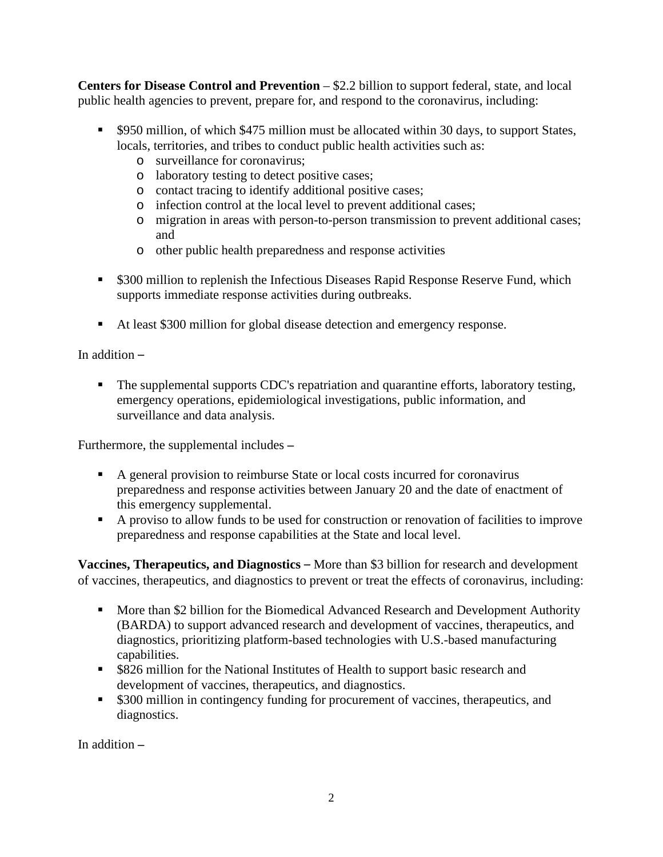**Centers for Disease Control and Prevention** – \$2.2 billion to support federal, state, and local public health agencies to prevent, prepare for, and respond to the coronavirus, including:

- **SPED**  $\bullet$  \$950 million, of which \$475 million must be allocated within 30 days, to support States, locals, territories, and tribes to conduct public health activities such as:
	- o surveillance for coronavirus;
	- o laboratory testing to detect positive cases;
	- o contact tracing to identify additional positive cases;
	- o infection control at the local level to prevent additional cases;
	- o migration in areas with person-to-person transmission to prevent additional cases; and
	- o other public health preparedness and response activities
- **S300 million to replenish the Infectious Diseases Rapid Response Reserve Fund, which** supports immediate response activities during outbreaks.
- At least \$300 million for global disease detection and emergency response.

In addition –

 The supplemental supports CDC's repatriation and quarantine efforts, laboratory testing, emergency operations, epidemiological investigations, public information, and surveillance and data analysis.

Furthermore, the supplemental includes **–**

- A general provision to reimburse State or local costs incurred for coronavirus preparedness and response activities between January 20 and the date of enactment of this emergency supplemental.
- A proviso to allow funds to be used for construction or renovation of facilities to improve preparedness and response capabilities at the State and local level.

**Vaccines, Therapeutics, and Diagnostics** – More than \$3 billion for research and development of vaccines, therapeutics, and diagnostics to prevent or treat the effects of coronavirus, including:

- More than \$2 billion for the Biomedical Advanced Research and Development Authority (BARDA) to support advanced research and development of vaccines, therapeutics, and diagnostics, prioritizing platform-based technologies with U.S.-based manufacturing capabilities.
- \$826 million for the National Institutes of Health to support basic research and development of vaccines, therapeutics, and diagnostics.
- **\$300 million in contingency funding for procurement of vaccines, therapeutics, and** diagnostics.

In addition **–**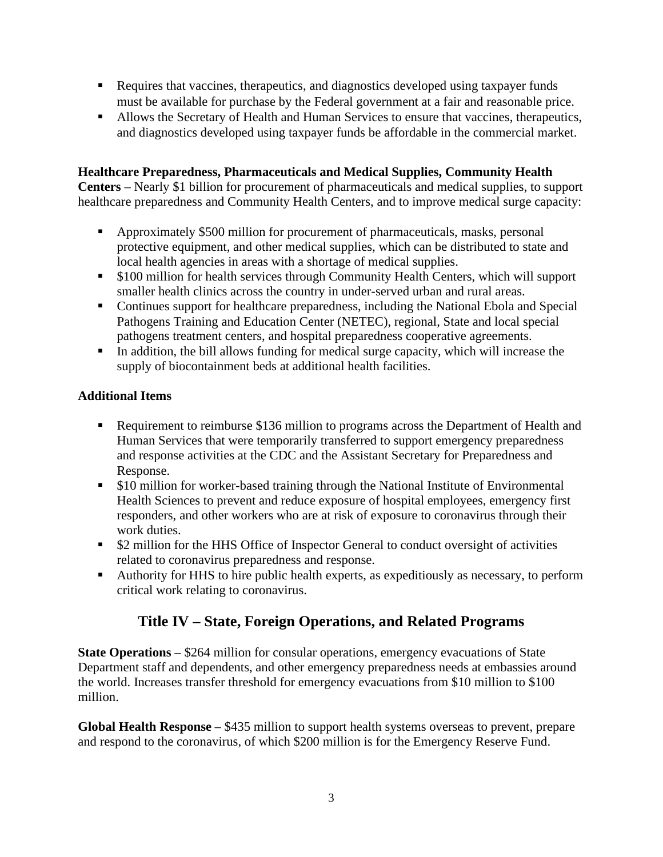- Requires that vaccines, therapeutics, and diagnostics developed using taxpayer funds must be available for purchase by the Federal government at a fair and reasonable price.
- Allows the Secretary of Health and Human Services to ensure that vaccines, therapeutics, and diagnostics developed using taxpayer funds be affordable in the commercial market.

#### **Healthcare Preparedness, Pharmaceuticals and Medical Supplies, Community Health**

**Centers** – Nearly \$1 billion for procurement of pharmaceuticals and medical supplies, to support healthcare preparedness and Community Health Centers, and to improve medical surge capacity:

- Approximately \$500 million for procurement of pharmaceuticals, masks, personal protective equipment, and other medical supplies, which can be distributed to state and local health agencies in areas with a shortage of medical supplies.
- \$100 million for health services through Community Health Centers, which will support smaller health clinics across the country in under-served urban and rural areas.
- Continues support for healthcare preparedness, including the National Ebola and Special Pathogens Training and Education Center (NETEC), regional, State and local special pathogens treatment centers, and hospital preparedness cooperative agreements.
- In addition, the bill allows funding for medical surge capacity, which will increase the supply of biocontainment beds at additional health facilities.

#### **Additional Items**

- **Requirement to reimburse \$136 million to programs across the Department of Health and** Human Services that were temporarily transferred to support emergency preparedness and response activities at the CDC and the Assistant Secretary for Preparedness and Response.
- **S10 million for worker-based training through the National Institute of Environmental** Health Sciences to prevent and reduce exposure of hospital employees, emergency first responders, and other workers who are at risk of exposure to coronavirus through their work duties.
- **52 million for the HHS Office of Inspector General to conduct oversight of activities** related to coronavirus preparedness and response.
- Authority for HHS to hire public health experts, as expeditiously as necessary, to perform critical work relating to coronavirus.

## **Title IV – State, Foreign Operations, and Related Programs**

**State Operations** – \$264 million for consular operations, emergency evacuations of State Department staff and dependents, and other emergency preparedness needs at embassies around the world. Increases transfer threshold for emergency evacuations from \$10 million to \$100 million.

**Global Health Response** – \$435 million to support health systems overseas to prevent, prepare and respond to the coronavirus, of which \$200 million is for the Emergency Reserve Fund.